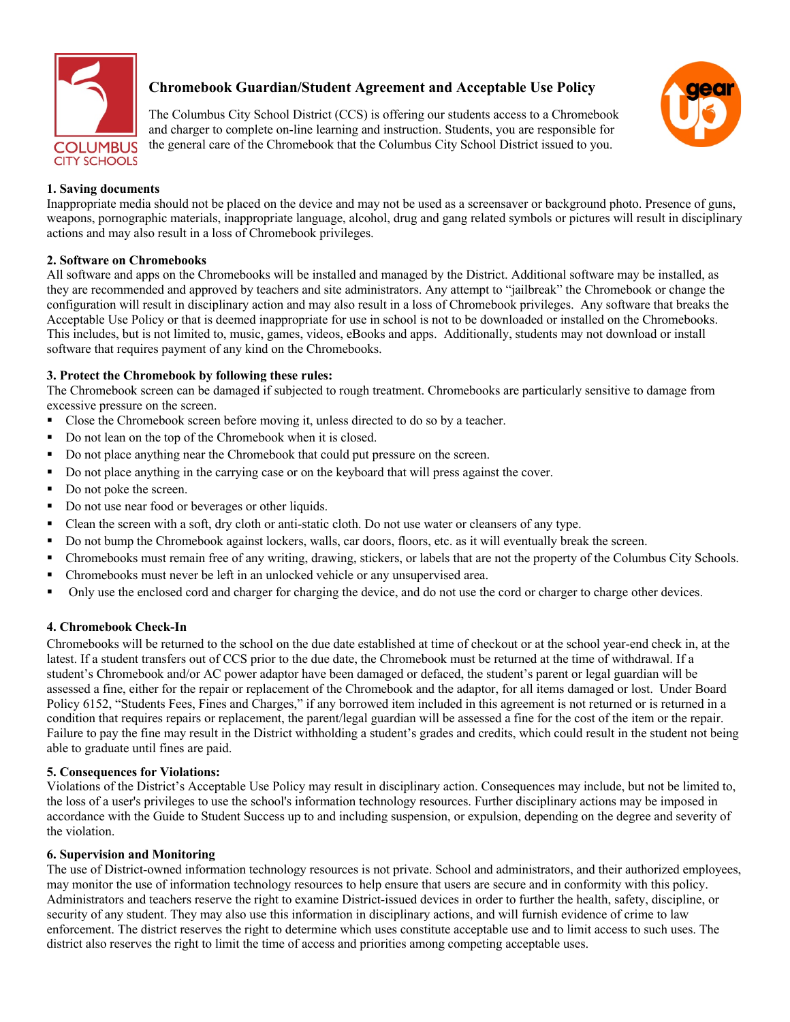

# **Chromebook Guardian/Student Agreement and Acceptable Use Policy**

The Columbus City School District (CCS) is offering our students access to a Chromebook and charger to complete on-line learning and instruction. Students, you are responsible for the general care of the Chromebook that the Columbus City School District issued to you.



## **1. Saving documents**

Inappropriate media should not be placed on the device and may not be used as a screensaver or background photo. Presence of guns, weapons, pornographic materials, inappropriate language, alcohol, drug and gang related symbols or pictures will result in disciplinary actions and may also result in a loss of Chromebook privileges.

## **2. Software on Chromebooks**

All software and apps on the Chromebooks will be installed and managed by the District. Additional software may be installed, as they are recommended and approved by teachers and site administrators. Any attempt to "jailbreak" the Chromebook or change the configuration will result in disciplinary action and may also result in a loss of Chromebook privileges. Any software that breaks the Acceptable Use Policy or that is deemed inappropriate for use in school is not to be downloaded or installed on the Chromebooks. This includes, but is not limited to, music, games, videos, eBooks and apps. Additionally, students may not download or install software that requires payment of any kind on the Chromebooks.

## **3. Protect the Chromebook by following these rules:**

The Chromebook screen can be damaged if subjected to rough treatment. Chromebooks are particularly sensitive to damage from excessive pressure on the screen.

- Close the Chromebook screen before moving it, unless directed to do so by a teacher.
- Do not lean on the top of the Chromebook when it is closed.
- Do not place anything near the Chromebook that could put pressure on the screen.
- Do not place anything in the carrying case or on the keyboard that will press against the cover.
- Do not poke the screen.
- Do not use near food or beverages or other liquids.
- Clean the screen with a soft, dry cloth or anti-static cloth. Do not use water or cleansers of any type.
- § Do not bump the Chromebook against lockers, walls, car doors, floors, etc. as it will eventually break the screen.
- § Chromebooks must remain free of any writing, drawing, stickers, or labels that are not the property of the Columbus City Schools.
- Chromebooks must never be left in an unlocked vehicle or any unsupervised area.
- Only use the enclosed cord and charger for charging the device, and do not use the cord or charger to charge other devices.

### **4. Chromebook Check-In**

Chromebooks will be returned to the school on the due date established at time of checkout or at the school year-end check in, at the latest. If a student transfers out of CCS prior to the due date, the Chromebook must be returned at the time of withdrawal. If a student's Chromebook and/or AC power adaptor have been damaged or defaced, the student's parent or legal guardian will be assessed a fine, either for the repair or replacement of the Chromebook and the adaptor, for all items damaged or lost. Under Board Policy 6152, "Students Fees, Fines and Charges," if any borrowed item included in this agreement is not returned or is returned in a condition that requires repairs or replacement, the parent/legal guardian will be assessed a fine for the cost of the item or the repair. Failure to pay the fine may result in the District withholding a student's grades and credits, which could result in the student not being able to graduate until fines are paid.

### **5. Consequences for Violations:**

Violations of the District's Acceptable Use Policy may result in disciplinary action. Consequences may include, but not be limited to, the loss of a user's privileges to use the school's information technology resources. Further disciplinary actions may be imposed in accordance with the Guide to Student Success up to and including suspension, or expulsion, depending on the degree and severity of the violation.

### **6. Supervision and Monitoring**

The use of District-owned information technology resources is not private. School and administrators, and their authorized employees, may monitor the use of information technology resources to help ensure that users are secure and in conformity with this policy. Administrators and teachers reserve the right to examine District-issued devices in order to further the health, safety, discipline, or security of any student. They may also use this information in disciplinary actions, and will furnish evidence of crime to law enforcement. The district reserves the right to determine which uses constitute acceptable use and to limit access to such uses. The district also reserves the right to limit the time of access and priorities among competing acceptable uses.